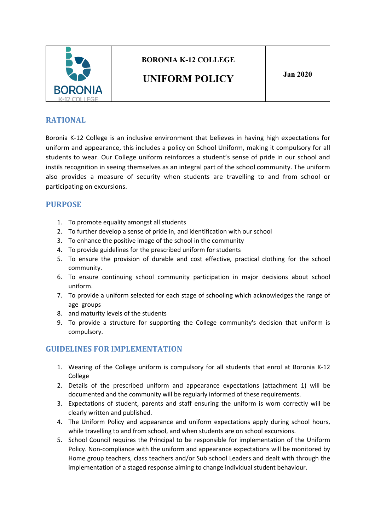

# **BORONIA K-12 COLLEGE**

# **UNIFORM POLICY Jan <sup>2020</sup>**

#### **RATIONAL**

Boronia K-12 College is an inclusive environment that believes in having high expectations for uniform and appearance, this includes a policy on School Uniform, making it compulsory for all students to wear. Our College uniform reinforces a student's sense of pride in our school and instils recognition in seeing themselves as an integral part of the school community. The uniform also provides a measure of security when students are travelling to and from school or participating on excursions.

#### **PURPOSE**

- 1. To promote equality amongst all students
- 2. To further develop a sense of pride in, and identification with our school
- 3. To enhance the positive image of the school in the community
- 4. To provide guidelines for the prescribed uniform for students
- 5. To ensure the provision of durable and cost effective, practical clothing for the school community.
- 6. To ensure continuing school community participation in major decisions about school uniform.
- 7. To provide a uniform selected for each stage of schooling which acknowledges the range of age groups
- 8. and maturity levels of the students
- 9. To provide a structure for supporting the College community's decision that uniform is compulsory.

#### **GUIDELINES FOR IMPLEMENTATION**

- 1. Wearing of the College uniform is compulsory for all students that enrol at Boronia K-12 College
- 2. Details of the prescribed uniform and appearance expectations (attachment 1) will be documented and the community will be regularly informed of these requirements.
- 3. Expectations of student, parents and staff ensuring the uniform is worn correctly will be clearly written and published.
- 4. The Uniform Policy and appearance and uniform expectations apply during school hours, while travelling to and from school, and when students are on school excursions.
- 5. School Council requires the Principal to be responsible for implementation of the Uniform Policy. Non-compliance with the uniform and appearance expectations will be monitored by Home group teachers, class teachers and/or Sub school Leaders and dealt with through the implementation of a staged response aiming to change individual student behaviour.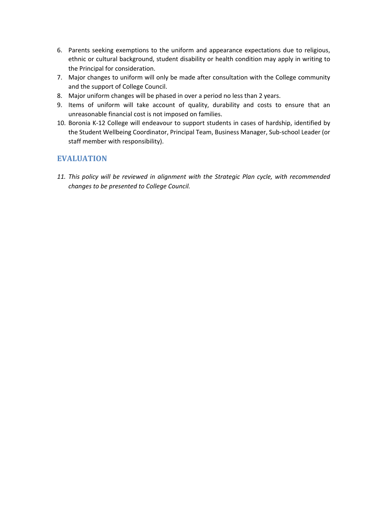- 6. Parents seeking exemptions to the uniform and appearance expectations due to religious, ethnic or cultural background, student disability or health condition may apply in writing to the Principal for consideration.
- 7. Major changes to uniform will only be made after consultation with the College community and the support of College Council.
- 8. Major uniform changes will be phased in over a period no less than 2 years.
- 9. Items of uniform will take account of quality, durability and costs to ensure that an unreasonable financial cost is not imposed on families.
- 10. Boronia K-12 College will endeavour to support students in cases of hardship, identified by the Student Wellbeing Coordinator, Principal Team, Business Manager, Sub-school Leader (or staff member with responsibility).

#### **EVALUATION**

*11. This policy will be reviewed in alignment with the Strategic Plan cycle, with recommended changes to be presented to College Council.*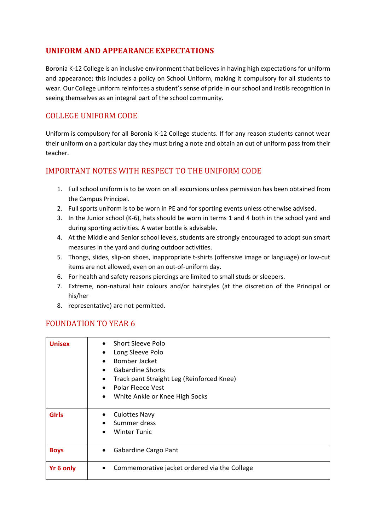## **UNIFORM AND APPEARANCE EXPECTATIONS**

Boronia K-12 College is an inclusive environment that believes in having high expectations for uniform and appearance; this includes a policy on School Uniform, making it compulsory for all students to wear. Our College uniform reinforces a student's sense of pride in our school and instils recognition in seeing themselves as an integral part of the school community.

#### COLLEGE UNIFORM CODE

Uniform is compulsory for all Boronia K-12 College students. If for any reason students cannot wear their uniform on a particular day they must bring a note and obtain an out of uniform pass from their teacher.

## IMPORTANT NOTES WITH RESPECT TO THE UNIFORM CODE

- 1. Full school uniform is to be worn on all excursions unless permission has been obtained from the Campus Principal.
- 2. Full sports uniform is to be worn in PE and for sporting events unless otherwise advised.
- 3. In the Junior school (K-6), hats should be worn in terms 1 and 4 both in the school yard and during sporting activities. A water bottle is advisable.
- 4. At the Middle and Senior school levels, students are strongly encouraged to adopt sun smart measures in the yard and during outdoor activities.
- 5. Thongs, slides, slip-on shoes, inappropriate t-shirts (offensive image or language) or low-cut items are not allowed, even on an out-of-uniform day.
- 6. For health and safety reasons piercings are limited to small studs or sleepers.
- 7. Extreme, non-natural hair colours and/or hairstyles (at the discretion of the Principal or his/her
- 8. representative) are not permitted.

#### FOUNDATION TO YEAR 6

| <b>Unisex</b> | Short Sleeve Polo<br>Long Sleeve Polo<br>$\bullet$<br>Bomber Jacket<br><b>Gabardine Shorts</b><br>Track pant Straight Leg (Reinforced Knee)<br><b>Polar Fleece Vest</b><br>White Ankle or Knee High Socks |
|---------------|-----------------------------------------------------------------------------------------------------------------------------------------------------------------------------------------------------------|
| <b>GIrls</b>  | <b>Culottes Navy</b><br>Summer dress<br><b>Winter Tunic</b>                                                                                                                                               |
| <b>Boys</b>   | Gabardine Cargo Pant                                                                                                                                                                                      |
| Yr 6 only     | Commemorative jacket ordered via the College                                                                                                                                                              |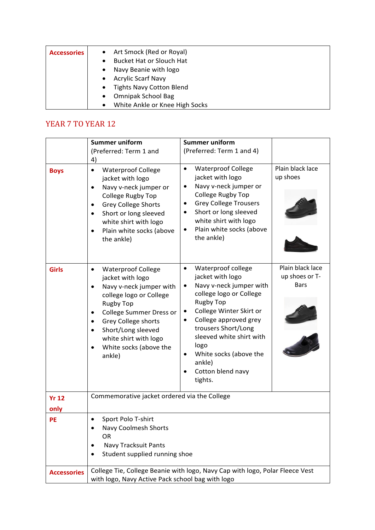| <b>Accessories</b> | • Art Smock (Red or Royal)<br><b>Bucket Hat or Slouch Hat</b> |
|--------------------|---------------------------------------------------------------|
|                    | Navy Beanie with logo<br>$\bullet$                            |
|                    | <b>Acrylic Scarf Navy</b><br>$\bullet$                        |
|                    | <b>Tights Navy Cotton Blend</b><br>$\bullet$                  |
|                    | <b>Omnipak School Bag</b><br>$\bullet$                        |
|                    | White Ankle or Knee High Socks<br>$\bullet$                   |

# YEAR 7 TO YEAR 12

|                      | <b>Summer uniform</b>                                                                                                                                                                                                                                                                                                                                    | <b>Summer uniform</b>                                                                                                                                                                                                                                                                                            |                                                   |
|----------------------|----------------------------------------------------------------------------------------------------------------------------------------------------------------------------------------------------------------------------------------------------------------------------------------------------------------------------------------------------------|------------------------------------------------------------------------------------------------------------------------------------------------------------------------------------------------------------------------------------------------------------------------------------------------------------------|---------------------------------------------------|
|                      | (Preferred: Term 1 and<br>4)                                                                                                                                                                                                                                                                                                                             | (Preferred: Term 1 and 4)                                                                                                                                                                                                                                                                                        |                                                   |
| <b>Boys</b>          | <b>Waterproof College</b><br>$\bullet$<br>jacket with logo<br>Navy v-neck jumper or<br>$\bullet$<br>College Rugby Top<br><b>Grey College Shorts</b><br>$\bullet$<br>Short or long sleeved<br>$\bullet$<br>white shirt with logo<br>Plain white socks (above<br>$\bullet$<br>the ankle)                                                                   | <b>Waterproof College</b><br>jacket with logo<br>Navy v-neck jumper or<br>College Rugby Top<br><b>Grey College Trousers</b><br>Short or long sleeved<br>$\bullet$<br>white shirt with logo<br>Plain white socks (above<br>the ankle)                                                                             | Plain black lace<br>up shoes                      |
| <b>Girls</b>         | <b>Waterproof College</b><br>$\bullet$<br>jacket with logo<br>Navy v-neck jumper with<br>$\bullet$<br>college logo or College<br><b>Rugby Top</b><br><b>College Summer Dress or</b><br>$\bullet$<br><b>Grey College shorts</b><br>$\bullet$<br>Short/Long sleeved<br>$\bullet$<br>white shirt with logo<br>White socks (above the<br>$\bullet$<br>ankle) | Waterproof college<br>jacket with logo<br>Navy v-neck jumper with<br>college logo or College<br><b>Rugby Top</b><br>College Winter Skirt or<br>College approved grey<br>$\bullet$<br>trousers Short/Long<br>sleeved white shirt with<br>logo<br>White socks (above the<br>ankle)<br>Cotton blend navy<br>tights. | Plain black lace<br>up shoes or T-<br><b>Bars</b> |
| <b>Yr 12</b><br>only | Commemorative jacket ordered via the College                                                                                                                                                                                                                                                                                                             |                                                                                                                                                                                                                                                                                                                  |                                                   |
| PE                   | Sport Polo T-shirt<br><b>Navy Coolmesh Shorts</b><br>٠<br>OR<br><b>Navy Tracksuit Pants</b><br>$\bullet$<br>Student supplied running shoe                                                                                                                                                                                                                |                                                                                                                                                                                                                                                                                                                  |                                                   |
| <b>Accessories</b>   | College Tie, College Beanie with logo, Navy Cap with logo, Polar Fleece Vest<br>with logo, Navy Active Pack school bag with logo                                                                                                                                                                                                                         |                                                                                                                                                                                                                                                                                                                  |                                                   |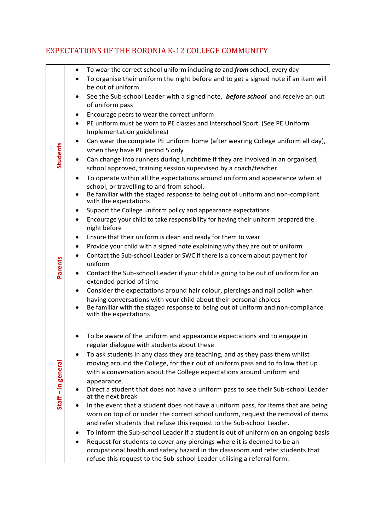#### • To wear the correct school uniform including *to* and *from* school, every day • To organise their uniform the night before and to get a signed note if an item will be out of uniform • See the Sub-school Leader with a signed note, *before school* and receive an out of uniform pass • Encourage peers to wear the correct uniform • PE uniform must be worn to PE classes and Interschool Sport. (See PE Uniform Implementation guidelines) • Can wear the complete PE uniform home (after wearing College uniform all day), **Students Students** when they have PE period 5 only • Can change into runners during lunchtime if they are involved in an organised, school approved, training session supervised by a coach/teacher. • To operate within all the expectations around uniform and appearance when at school, or travelling to and from school. Be familiar with the staged response to being out of uniform and non-compliant with the expectations • Support the College uniform policy and appearance expectations • Encourage your child to take responsibility for having their uniform prepared the night before • Ensure that their uniform is clean and ready for them to wear • Provide your child with a signed note explaining why they are out of uniform • Contact the Sub-school Leader or SWC if there is a concern about payment for **Parents** uniform • Contact the Sub-school Leader if your child is going to be out of uniform for an extended period of time • Consider the expectations around hair colour, piercings and nail polish when having conversations with your child about their personal choices Be familiar with the staged response to being out of uniform and non-compliance with the expectations • To be aware of the uniform and appearance expectations and to engage in regular dialogue with students about these • To ask students in any class they are teaching, and as they pass them whilst moving around the College, for their out of uniform pass and to follow that up Staff-in general **– in general** with a conversation about the College expectations around uniform and appearance. • Direct a student that does not have a uniform pass to see their Sub-school Leader at the next break In the event that a student does not have a uniform pass, for items that are being worn on top of or under the correct school uniform, request the removal of items and refer students that refuse this request to the Sub-school Leader. • To inform the Sub-school Leader if a student is out of uniform on an ongoing basis • Request for students to cover any piercings where it is deemed to be an occupational health and safety hazard in the classroom and refer students that refuse this request to the Sub-school Leader utilising a referral form.

## EXPECTATIONS OF THE BORONIA K-12 COLLEGE COMMUNITY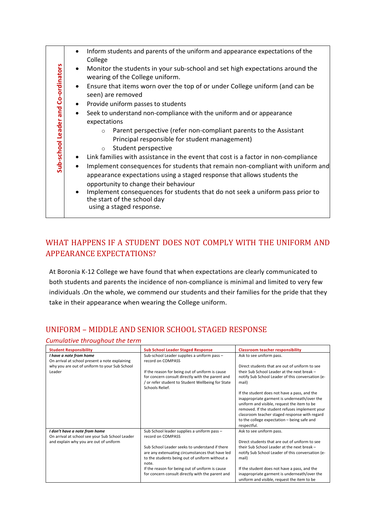| and Co-ordinators<br>Sub-school Leader | Inform students and parents of the uniform and appearance expectations of the<br>College<br>Monitor the students in your sub-school and set high expectations around the<br>$\bullet$<br>wearing of the College uniform.<br>Ensure that items worn over the top of or under College uniform (and can be<br>$\bullet$<br>seen) are removed<br>Provide uniform passes to students<br>$\bullet$<br>Seek to understand non-compliance with the uniform and or appearance<br>$\bullet$<br>expectations<br>Parent perspective (refer non-compliant parents to the Assistant<br>$\circ$<br>Principal responsible for student management)<br>Student perspective<br>$\circ$<br>Link families with assistance in the event that cost is a factor in non-compliance<br>Implement consequences for students that remain non-compliant with uniform and<br>$\bullet$<br>appearance expectations using a staged response that allows students the<br>opportunity to change their behaviour<br>Implement consequences for students that do not seek a uniform pass prior to<br>the start of the school day |
|----------------------------------------|----------------------------------------------------------------------------------------------------------------------------------------------------------------------------------------------------------------------------------------------------------------------------------------------------------------------------------------------------------------------------------------------------------------------------------------------------------------------------------------------------------------------------------------------------------------------------------------------------------------------------------------------------------------------------------------------------------------------------------------------------------------------------------------------------------------------------------------------------------------------------------------------------------------------------------------------------------------------------------------------------------------------------------------------------------------------------------------------|
|                                        | using a staged response.                                                                                                                                                                                                                                                                                                                                                                                                                                                                                                                                                                                                                                                                                                                                                                                                                                                                                                                                                                                                                                                                     |
|                                        |                                                                                                                                                                                                                                                                                                                                                                                                                                                                                                                                                                                                                                                                                                                                                                                                                                                                                                                                                                                                                                                                                              |

# WHAT HAPPENS IF A STUDENT DOES NOT COMPLY WITH THE UNIFORM AND APPEARANCE EXPECTATIONS?

At Boronia K-12 College we have found that when expectations are clearly communicated to both students and parents the incidence of non-compliance is minimal and limited to very few individuals .On the whole, we commend our students and their families for the pride that they take in their appearance when wearing the College uniform.

| Cumulative throughout the term                                                                                                       |                                                                                                                                                                                                                                                                                                                                         |                                                                                                                                                                                                                                                                                                                                                                                                                                                                                                         |  |  |  |
|--------------------------------------------------------------------------------------------------------------------------------------|-----------------------------------------------------------------------------------------------------------------------------------------------------------------------------------------------------------------------------------------------------------------------------------------------------------------------------------------|---------------------------------------------------------------------------------------------------------------------------------------------------------------------------------------------------------------------------------------------------------------------------------------------------------------------------------------------------------------------------------------------------------------------------------------------------------------------------------------------------------|--|--|--|
| <b>Student Responsibility</b>                                                                                                        | <b>Sub School Leader Staged Response</b>                                                                                                                                                                                                                                                                                                | <b>Classroom teacher responsibility</b>                                                                                                                                                                                                                                                                                                                                                                                                                                                                 |  |  |  |
| I have a note from home<br>On arrival at school present a note explaining<br>why you are out of uniform to your Sub School<br>Leader | Sub-school Leader supplies a uniform pass -<br>record on COMPASS<br>If the reason for being out of uniform is cause<br>for concern consult directly with the parent and<br>/ or refer student to Student Wellbeing for State<br>Schools Relief.                                                                                         | Ask to see uniform pass.<br>Direct students that are out of uniform to see<br>their Sub School Leader at the next break -<br>notify Sub School Leader of this conversation (e-<br>mail)<br>If the student does not have a pass, and the<br>inappropriate garment is underneath/over the<br>uniform and visible, request the item to be<br>removed. If the student refuses implement your<br>classroom teacher staged response with regard<br>to the college expectation - being safe and<br>respectful. |  |  |  |
| I don't have a note from home<br>On arrival at school see your Sub School Leader<br>and explain why you are out of uniform           | Sub School leader supplies a uniform pass -<br>record on COMPASS<br>Sub School Leader seeks to understand if there<br>are any extenuating circumstances that have led<br>to the students being out of uniform without a<br>note.<br>If the reason for being out of uniform is cause<br>for concern consult directly with the parent and | Ask to see uniform pass.<br>Direct students that are out of uniform to see<br>their Sub School Leader at the next break -<br>notify Sub School Leader of this conversation (e-<br>mail)<br>If the student does not have a pass, and the<br>inappropriate garment is underneath/over the<br>uniform and visible, request the item to be                                                                                                                                                                  |  |  |  |

# UNIFORM - MIDDLE AND SENIOR SCHOOL STAGED RESPONSE

*Cumulative throughout the term*